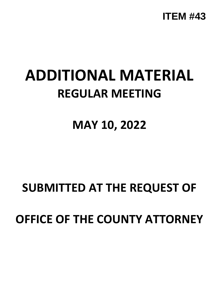

## **ADDITIONAL MATERIAL REGULAR MEETING**

**MAY 10, 2022**

## **SUBMITTED AT THE REQUEST OF OFFICE OF THE COUNTY ATTORNEY**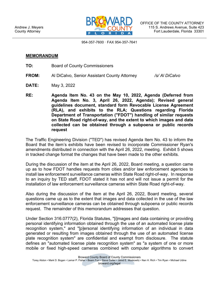

954-357-7600 · FAX 954-357-7641

## **MEMORANDUM**

- **TO:** Board of County Commissioners
- **FROM:** Al DiCalvo, Senior Assistant County Attorney */s/ Al DiCalvo*
- **DATE:** May 3, 2022
- **RE: Agenda Item No. 43 on the May 10, 2022, Agenda (Deferred from Agenda Item No. 3, April 26, 2022, Agenda); Revised general guidelines document, standard form Revocable License Agreement (RLA), and exhibits to the RLA; Questions regarding Florida Department of Transportation ("FDOT") handling of similar requests on State Road right-of-way, and the extent to which images and data collected can be obtained through a subpoena or public records request**

The Traffic Engineering Division ("TED") has revised Agenda Item No. 43 to inform the Board that the item's exhibits have been revised to incorporate Commissioner Ryan's amendments distributed in connection with the April 26, 2022, meeting. Exhibit 5 shows in tracked change format the changes that have been made to the other exhibits.

During the discussion of the item at the April 26, 2022, Board meeting, a question came up as to how FDOT handles requests from cities and/or law enforcement agencies to install law enforcement surveillance cameras within State Road right-of-way. In response to an inquiry by TED staff, FDOT stated it has not and will not issue a permit for the installation of law enforcement surveillance cameras within State Road right-of-way.

Also during the discussion of the item at the April 26, 2022, Board meeting, several questions came up as to the extent that images and data collected in the use of the law enforcement surveillance cameras can be obtained through subpoena or public records request. The remainder of this memorandum addresses that question.

Under Section 316.0777(2), Florida Statutes, "[i]mages and data containing or providing personal identifying information obtained through the use of an automated license plate recognition system," and "[p]ersonal identifying information of an individual in data generated or resulting from images obtained through the use of an automated license plate recognition system" are confidential and exempt from disclosure. The statute defines an "automated license plate recognition system" as "a system of one or more mobile or fixed high-speed cameras combined with computer algorithms to convert